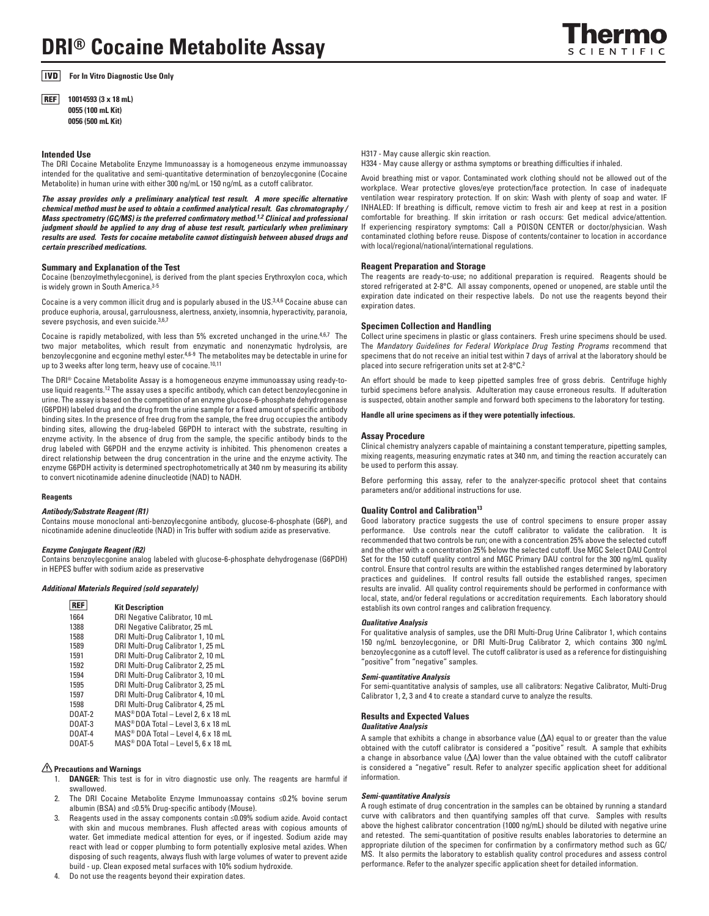**For In Vitro Diagnostic Use Only**

**REF 10014593 (3 x 18 mL) 0055 (100 mL Kit) 0056 (500 mL Kit)** 

#### **Intended Use**

The DRI Cocaine Metabolite Enzyme Immunoassay is a homogeneous enzyme immunoassay intended for the qualitative and semi-quantitative determination of benzoylecgonine (Cocaine Metabolite) in human urine with either 300 ng/mL or 150 ng/mL as a cutoff calibrator.

*The assay provides only a preliminary analytical test result. A more specific alternative chemical method must be used to obtain a confirmed analytical result. Gas chromatography /*  Mass spectrometry (GC/MS) is the preferred confirmatory method.<sup>1,2</sup> Clinical and professional *judgment should be applied to any drug of abuse test result, particularly when preliminary results are used. Tests for cocaine metabolite cannot distinguish between abused drugs and certain prescribed medications.* 

### **Summary and Explanation of the Test**

Cocaine (benzoylmethylecgonine), is derived from the plant species Erythroxylon coca, which is widely grown in South America.<sup>3-5</sup>

Cocaine is a very common illicit drug and is popularly abused in the US.<sup>3,4,6</sup> Cocaine abuse can produce euphoria, arousal, garrulousness, alertness, anxiety, insomnia, hyperactivity, paranoia, severe psychosis, and even suicide.<sup>3,6,7</sup>

Cocaine is rapidly metabolized, with less than 5% excreted unchanged in the urine.<sup>4,6,7</sup> The two major metabolites, which result from enzymatic and nonenzymatic hydrolysis, are benzoylecgonine and ecgonine methyl ester.4,6-9 The metabolites may be detectable in urine for up to 3 weeks after long term, heavy use of cocaine.<sup>10,11</sup>

The DRI® Cocaine Metabolite Assay is a homogeneous enzyme immunoassay using ready-touse liquid reagents.12 The assay uses a specific antibody, which can detect benzoylecgonine in urine. The assay is based on the competition of an enzyme glucose-6-phosphate dehydrogenase (G6PDH) labeled drug and the drug from the urine sample for a fixed amount of specific antibody binding sites. In the presence of free drug from the sample, the free drug occupies the antibody binding sites, allowing the drug-labeled G6PDH to interact with the substrate, resulting in enzyme activity. In the absence of drug from the sample, the specific antibody binds to the drug labeled with G6PDH and the enzyme activity is inhibited. This phenomenon creates a direct relationship between the drug concentration in the urine and the enzyme activity. The enzyme G6PDH activity is determined spectrophotometrically at 340 nm by measuring its ability to convert nicotinamide adenine dinucleotide (NAD) to NADH.

### **Reagents**

#### *Antibody/Substrate Reagent (R1)*

Contains mouse monoclonal anti-benzoylecgonine antibody, glucose-6-phosphate (G6P), and nicotinamide adenine dinucleotide (NAD) in Tris buffer with sodium azide as preservative.

#### *Enzyme Conjugate Reagent (R2)*

Contains benzoylecgonine analog labeled with glucose-6-phosphate dehydrogenase (G6PDH) in HEPES buffer with sodium azide as preservative

#### *Additional Materials Required (sold separately)*

| <b>REF</b>     |                                                     |
|----------------|-----------------------------------------------------|
|                | <b>Kit Description</b>                              |
| 1664           | DRI Negative Calibrator, 10 mL                      |
| 1388           | DRI Negative Calibrator, 25 mL                      |
| 1588           | DRI Multi-Drug Calibrator 1, 10 mL                  |
| 1589           | DRI Multi-Drug Calibrator 1, 25 mL                  |
| 1591           | DRI Multi-Drug Calibrator 2, 10 mL                  |
| 1592           | DRI Multi-Drug Calibrator 2, 25 mL                  |
| 1594           | DRI Multi-Drug Calibrator 3, 10 mL                  |
| 1595           | DRI Multi-Drug Calibrator 3, 25 mL                  |
| 1597           | DRI Multi-Drug Calibrator 4, 10 mL                  |
| 1598           | DRI Multi-Drug Calibrator 4, 25 mL                  |
| DOAT-2         | MAS <sup>®</sup> DOA Total - Level 2, 6 x 18 mL     |
| DOAT-3         | $MAS^{\circledcirc}$ DOA Total - Level 3.6 x 18 mL  |
| $D$ $0$ $AT-4$ | MAS <sup>®</sup> DOA Total - Level 4, 6 x 18 mL     |
| <b>DOAT-5</b>  | $MAS^{\circledcirc}$ DOA Total - Level 5, 6 x 18 mL |

# **Precautions and Warnings**

- 1. **DANGER:** This test is for in vitro diagnostic use only. The reagents are harmful if swallowed.
- 2. The DRI Cocaine Metabolite Enzyme Immunoassay contains ≤0.2% bovine serum albumin (BSA) and ≤0.5% Drug-specific antibody (Mouse).
- 3. Reagents used in the assay components contain ≤0.09% sodium azide. Avoid contact with skin and mucous membranes. Flush affected areas with copious amounts of water. Get immediate medical attention for eyes, or if ingested. Sodium azide may react with lead or copper plumbing to form potentially explosive metal azides. When disposing of such reagents, always flush with large volumes of water to prevent azide build - up. Clean exposed metal surfaces with 10% sodium hydroxide.
- 4. Do not use the reagents beyond their expiration dates.

H317 - May cause allergic skin reaction.

H334 - May cause allergy or asthma symptoms or breathing difficulties if inhaled.

Avoid breathing mist or vapor. Contaminated work clothing should not be allowed out of the workplace. Wear protective gloves/eye protection/face protection. In case of inadequate ventilation wear respiratory protection. If on skin: Wash with plenty of soap and water. IF INHALED: If breathing is difficult, remove victim to fresh air and keep at rest in a position comfortable for breathing. If skin irritation or rash occurs: Get medical advice/attention. If experiencing respiratory symptoms: Call a POISON CENTER or doctor/physician. Wash contaminated clothing before reuse. Dispose of contents/container to location in accordance with local/regional/national/international regulations.

# **Reagent Preparation and Storage**

The reagents are ready-to-use; no additional preparation is required. Reagents should be stored refrigerated at 2-8°C. All assay components, opened or unopened, are stable until the expiration date indicated on their respective labels. Do not use the reagents beyond their expiration dates.

#### **Specimen Collection and Handling**

Collect urine specimens in plastic or glass containers. Fresh urine specimens should be used. The *Mandatory Guidelines for Federal Workplace Drug Testing Programs* recommend that specimens that do not receive an initial test within 7 days of arrival at the laboratory should be placed into secure refrigeration units set at 2-8°C.<sup>2</sup>

An effort should be made to keep pipetted samples free of gross debris. Centrifuge highly turbid specimens before analysis. Adulteration may cause erroneous results. If adulteration is suspected, obtain another sample and forward both specimens to the laboratory for testing.

### **Handle all urine specimens as if they were potentially infectious.**

#### **Assay Procedure**

Clinical chemistry analyzers capable of maintaining a constant temperature, pipetting samples, mixing reagents, measuring enzymatic rates at 340 nm, and timing the reaction accurately can be used to perform this assay.

Before performing this assay, refer to the analyzer-specific protocol sheet that contains parameters and/or additional instructions for use.

## **Quality Control and Calibration<sup>13</sup>**

Good laboratory practice suggests the use of control specimens to ensure proper assay performance. Use controls near the cutoff calibrator to validate the calibration. It is recommended that two controls be run; one with a concentration 25% above the selected cutoff and the other with a concentration 25% below the selected cutoff. Use MGC Select DAU Control Set for the 150 cutoff quality control and MGC Primary DAU control for the 300 ng/mL quality control. Ensure that control results are within the established ranges determined by laboratory practices and guidelines. If control results fall outside the established ranges, specimen results are invalid. All quality control requirements should be performed in conformance with local, state, and/or federal regulations or accreditation requirements. Each laboratory should establish its own control ranges and calibration frequency.

### *Qualitative Analysis*

For qualitative analysis of samples, use the DRI Multi-Drug Urine Calibrator 1, which contains 150 ng/mL benzoylecgonine, or DRI Multi-Drug Calibrator 2, which contains 300 ng/mL benzoylecgonine as a cutoff level. The cutoff calibrator is used as a reference for distinguishing "positive" from "negative" samples.

## *Semi-quantitative Analysis*

For semi-quantitative analysis of samples, use all calibrators: Negative Calibrator, Multi-Drug Calibrator 1, 2, 3 and 4 to create a standard curve to analyze the results.

## **Results and Expected Values**

### *Qualitative Analysis*

A sample that exhibits a change in absorbance value  $(\Delta A)$  equal to or greater than the value obtained with the cutoff calibrator is considered a "positive" result. A sample that exhibits a change in absorbance value ( $\Delta A$ ) lower than the value obtained with the cutoff calibrator is considered a "negative" result. Refer to analyzer specific application sheet for additional information.

### *Semi-quantitative Analysis*

A rough estimate of drug concentration in the samples can be obtained by running a standard curve with calibrators and then quantifying samples off that curve. Samples with results above the highest calibrator concentration (1000 ng/mL) should be diluted with negative urine and retested. The semi-quantitation of positive results enables laboratories to determine an appropriate dilution of the specimen for confirmation by a confirmatory method such as GC/ MS. It also permits the laboratory to establish quality control procedures and assess control performance. Refer to the analyzer specific application sheet for detailed information.

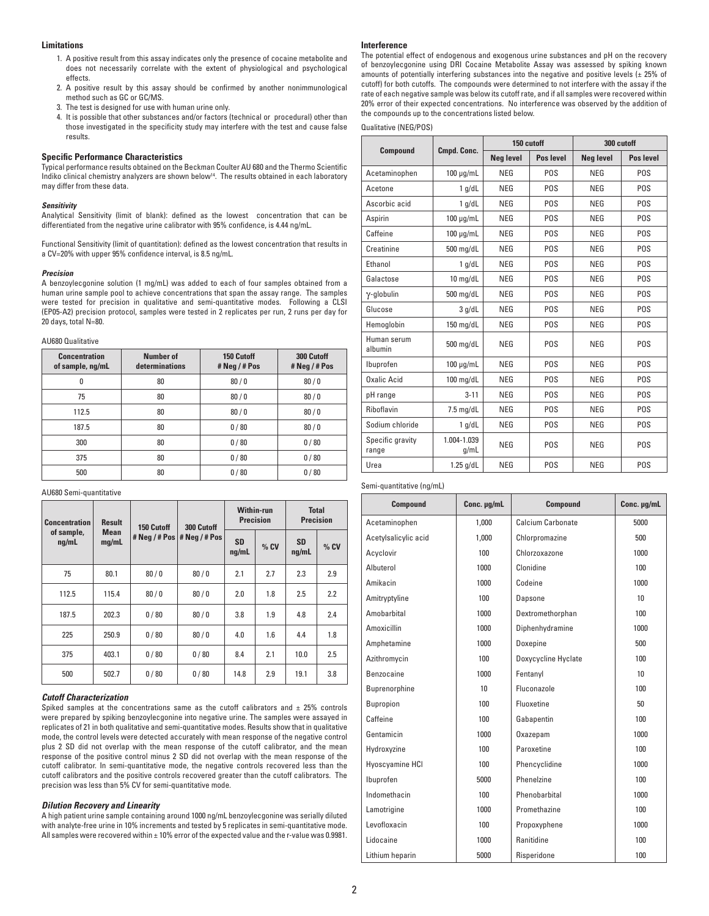# **Limitations**

- 1. A positive result from this assay indicates only the presence of cocaine metabolite and does not necessarily correlate with the extent of physiological and psychological effects.
- 2. A positive result by this assay should be confirmed by another nonimmunological method such as GC or GC/MS.
- 3. The test is designed for use with human urine only.
- 4. It is possible that other substances and/or factors (technical or procedural) other than those investigated in the specificity study may interfere with the test and cause false results.

## **Specific Performance Characteristics**

Typical performance results obtained on the Beckman Coulter AU 680 and the Thermo Scientific Indiko clinical chemistry analyzers are shown below<sup>14</sup>. The results obtained in each laboratory may differ from these data.

#### *Sensitivity*

Analytical Sensitivity (limit of blank): defined as the lowest concentration that can be differentiated from the negative urine calibrator with 95% confidence, is 4.44 ng/mL.

Functional Sensitivity (limit of quantitation): defined as the lowest concentration that results in a CV=20% with upper 95% confidence interval, is 8.5 ng/mL.

### *Precision*

A benzoylecgonine solution (1 mg/mL) was added to each of four samples obtained from a human urine sample pool to achieve concentrations that span the assay range. The samples were tested for precision in qualitative and semi-quantitative modes. Following a CLSI (EP05-A2) precision protocol, samples were tested in 2 replicates per run, 2 runs per day for 20 days, total N=80.

### AU680 Qualitative

| <b>Concentration</b><br>of sample, ng/mL | Number of<br>determinations | 150 Cutoff<br># Neg / $# Pos$ | 300 Cutoff<br># Neg / # Pos |
|------------------------------------------|-----------------------------|-------------------------------|-----------------------------|
| 0                                        | 80                          | 80/0                          | 80/0                        |
| 75                                       | 80                          | 80/0                          | 80/0                        |
| 112.5                                    | 80                          | 80/0                          | 80/0                        |
| 187.5                                    | 80                          | 0/80                          | 80/0                        |
| 300                                      | 80                          | 0/80                          | 0/80                        |
| 375                                      | 80                          | 0/80                          | 0/80                        |
| 500                                      | 80                          | 0/80                          | 0/80                        |

AU680 Semi-quantitative

| <b>Result</b><br><b>Concentration</b> |                      | 150 Cutoff | 300 Cutoff                    | <b>Within-run</b><br><b>Precision</b> |        | <b>Total</b><br><b>Precision</b> |        |
|---------------------------------------|----------------------|------------|-------------------------------|---------------------------------------|--------|----------------------------------|--------|
| of sample,<br>nq/mL                   | <b>Mean</b><br>mq/mL |            | # Neg / # Pos   # Neg / # Pos | <b>SD</b><br>nq/mL                    | $%$ CV | <b>SD</b><br>ng/mL               | $%$ CV |
| 75                                    | 80.1                 | 80/0       | 80/0                          | 2.1                                   | 2.7    | 2.3                              | 2.9    |
| 112.5                                 | 115.4                | 80/0       | 80/0                          | 2.0                                   | 1.8    | 2.5                              | 2.2    |
| 187.5                                 | 202.3                | 0/80       | 80/0                          | 3.8                                   | 1.9    | 4.8                              | 2.4    |
| 225                                   | 250.9                | 0/80       | 80/0                          | 4.0                                   | 1.6    | 4.4                              | 1.8    |
| 375                                   | 403.1                | 0/80       | 0/80                          | 8.4                                   | 2.1    | 10.0                             | 2.5    |
| 500                                   | 502.7                | 0/80       | 0/80                          | 14.8                                  | 2.9    | 19.1                             | 3.8    |

## *Cutoff Characterization*

Spiked samples at the concentrations same as the cutoff calibrators and  $\pm$  25% controls were prepared by spiking benzoylecgonine into negative urine. The samples were assayed in replicates of 21 in both qualitative and semi-quantitative modes. Results show that in qualitative mode, the control levels were detected accurately with mean response of the negative control plus 2 SD did not overlap with the mean response of the cutoff calibrator, and the mean response of the positive control minus 2 SD did not overlap with the mean response of the cutoff calibrator. In semi-quantitative mode, the negative controls recovered less than the cutoff calibrators and the positive controls recovered greater than the cutoff calibrators. The precision was less than 5% CV for semi-quantitative mode.

# *Dilution Recovery and Linearity*

A high patient urine sample containing around 1000 ng/mL benzoylecgonine was serially diluted with analyte-free urine in 10% increments and tested by 5 replicates in semi-quantitative mode. All samples were recovered within  $\pm 10\%$  error of the expected value and the r-value was 0.9981.

# **Interference**

The potential effect of endogenous and exogenous urine substances and pH on the recovery of benzoylecgonine using DRI Cocaine Metabolite Assay was assessed by spiking known amounts of potentially interfering substances into the negative and positive levels ( $\pm 25\%$  of cutoff) for both cutoffs. The compounds were determined to not interfere with the assay if the rate of each negative sample was below its cutoff rate, and if all samples were recovered within 20% error of their expected concentrations. No interference was observed by the addition of the compounds up to the concentrations listed below.

### Qualitative (NEG/POS)

|                           | Cmpd. Conc.         | 150 cutoff       |                  | 300 cutoff       |                  |  |
|---------------------------|---------------------|------------------|------------------|------------------|------------------|--|
| Compound                  |                     | <b>Neg level</b> | Pos level        | <b>Neg level</b> | Pos level        |  |
| Acetaminophen             | $100 \mu g/mL$      | <b>NEG</b>       | <b>POS</b>       | <b>NEG</b>       | POS              |  |
| Acetone                   | $1$ g/dL            | <b>NEG</b>       | <b>POS</b>       | <b>NEG</b>       | POS              |  |
| Ascorbic acid             | $1$ g/dL            | <b>NEG</b>       | <b>POS</b>       | <b>NEG</b>       | <b>POS</b>       |  |
| Aspirin                   | $100 \mu g/mL$      | <b>NEG</b>       | <b>POS</b>       | <b>NEG</b>       | POS              |  |
| Caffeine                  | $100 \mu g/mL$      | <b>NEG</b>       | <b>POS</b>       | <b>NEG</b>       | <b>POS</b>       |  |
| Creatinine                | 500 mg/dL           | <b>NEG</b>       | <b>POS</b>       | <b>NEG</b>       | POS              |  |
| Ethanol                   | 1 g/dL              | <b>NEG</b>       | <b>POS</b>       | <b>NEG</b>       | POS              |  |
| Galactose                 | $10$ mg/dL          | <b>NEG</b>       | <b>POS</b>       | <b>NEG</b>       | <b>POS</b>       |  |
| $\gamma$ -globulin        | 500 mg/dL           | <b>NEG</b>       | <b>POS</b>       | <b>NEG</b>       | <b>POS</b>       |  |
| Glucose                   | 3 g/dL              | <b>NEG</b>       | P <sub>0</sub> S | <b>NEG</b>       | POS              |  |
| Hemoglobin                | 150 mg/dL           | <b>NEG</b>       | <b>POS</b>       | <b>NEG</b>       | POS              |  |
| Human serum<br>albumin    | 500 mg/dL           | <b>NEG</b>       | <b>POS</b>       | <b>NEG</b>       | <b>POS</b>       |  |
| Ibuprofen                 | $100 \mu q/mL$      | <b>NEG</b>       | <b>POS</b>       | <b>NEG</b>       | POS              |  |
| Oxalic Acid               | $100$ mg/dL         | <b>NEG</b>       | <b>POS</b>       | <b>NEG</b>       | POS              |  |
| pH range                  | $3 - 11$            | <b>NEG</b>       | <b>POS</b>       | <b>NEG</b>       | <b>POS</b>       |  |
| Riboflavin                | $7.5$ mg/dL         | <b>NEG</b>       | <b>POS</b>       | <b>NEG</b>       | <b>POS</b>       |  |
| Sodium chloride           | 1 q/dL              | <b>NEG</b>       | <b>POS</b>       | <b>NEG</b>       | POS              |  |
| Specific gravity<br>range | 1.004-1.039<br>g/mL | <b>NEG</b>       | <b>POS</b>       | <b>NEG</b>       | <b>POS</b>       |  |
| Urea                      | $1.25$ g/dL         | <b>NEG</b>       | <b>POS</b>       | <b>NEG</b>       | P <sub>0</sub> S |  |

## Semi-quantitative (ng/mL)

| Compound             | Conc. µg/mL | Compound            | Conc. µg/mL      |
|----------------------|-------------|---------------------|------------------|
| Acetaminophen        | 1,000       | Calcium Carbonate   | 5000             |
| Acetylsalicylic acid | 1.000       | Chlorpromazine      | 500              |
| Acyclovir            | 100         | Chlorzoxazone       | 1000             |
| Albuterol            | 1000        | Clonidine           | 100              |
| Amikacin             | 1000        | Codeine             | 1000             |
| Amitryptyline        | 100         | Dapsone             | 10 <sup>10</sup> |
| Amobarbital          | 1000        | Dextromethorphan    | 100              |
| Amoxicillin          | 1000        | Diphenhydramine     | 1000             |
| Amphetamine          | 1000        | Doxepine            | 500              |
| Azithromycin         | 100         | Doxycycline Hyclate | 100              |
| Benzocaine           | 1000        | Fentanyl            | 10 <sup>1</sup>  |
| <b>Buprenorphine</b> | 10          | Fluconazole         | 100              |
| <b>Bupropion</b>     | 100         | Fluoxetine          | 50               |
| Caffeine             | 100         | Gabapentin          | 100              |
| Gentamicin           | 1000        | Oxazepam            | 1000             |
| Hydroxyzine          | 100         | Paroxetine          | 100              |
| Hyoscyamine HCI      | 100         | Phencyclidine       | 1000             |
| Ibuprofen            | 5000        | Phenelzine          | 100              |
| Indomethacin         | 100         | Phenobarbital       | 1000             |
| Lamotrigine          | 1000        | Promethazine        | 100              |
| Levofloxacin         | 100         | Propoxyphene        | 1000             |
| Lidocaine            | 1000        | Ranitidine          | 100              |
| Lithium heparin      | 5000        | Risperidone         | 100              |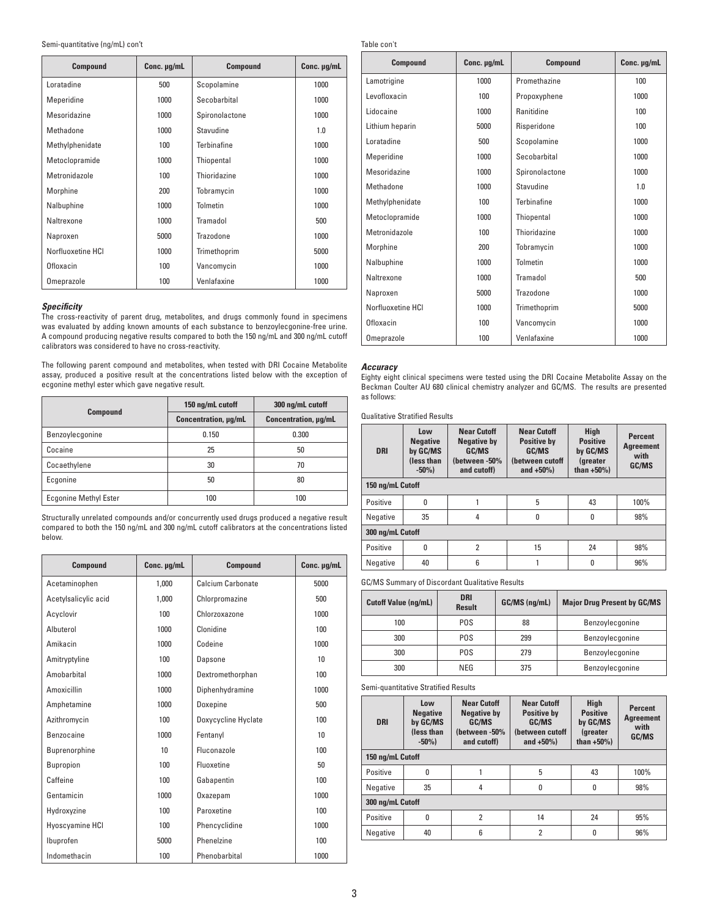Semi-quantitative (ng/mL) con't

| <b>Compound</b>   | Conc. µg/mL | Compound           | Conc. µg/mL |
|-------------------|-------------|--------------------|-------------|
| Loratadine        | 500         | Scopolamine        | 1000        |
| Meperidine        | 1000        | Secobarbital       | 1000        |
| Mesoridazine      | 1000        | Spironolactone     | 1000        |
| Methadone         | 1000        | Stavudine          | 1.0         |
| Methylphenidate   | 100         | <b>Terbinafine</b> |             |
| Metoclopramide    | 1000        | Thiopental         | 1000        |
| Metronidazole     | 100         | Thioridazine       |             |
| Morphine          | 200         | Tobramycin         |             |
| Nalbuphine        | 1000        | <b>Tolmetin</b>    |             |
| Naltrexone        | 1000        | Tramadol           | 500         |
| Naproxen          | 5000        | Trazodone          | 1000        |
| Norfluoxetine HCI | 1000        | Trimethoprim       | 5000        |
| Ofloxacin         | 100         | Vancomycin         | 1000        |
| Omeprazole        | 100         | Venlafaxine        | 1000        |

# *Specificity*

The cross-reactivity of parent drug, metabolites, and drugs commonly found in specimens was evaluated by adding known amounts of each substance to benzoylecgonine-free urine. A compound producing negative results compared to both the 150 ng/mL and 300 ng/mL cutoff calibrators was considered to have no cross-reactivity.

The following parent compound and metabolites, when tested with DRI Cocaine Metabolite assay, produced a positive result at the concentrations listed below with the exception of ecgonine methyl ester which gave negative result.

|                              | 150 ng/mL cutoff     | 300 ng/mL cutoff     |  |
|------------------------------|----------------------|----------------------|--|
| Compound                     | Concentration, µg/mL | Concentration, µg/mL |  |
| Benzoylecgonine              | 0.150                | 0.300                |  |
| Cocaine                      | 25                   | 50                   |  |
| Cocaethylene                 | 30                   | 70                   |  |
| Ecgonine                     | 50                   | 80                   |  |
| <b>Ecgonine Methyl Ester</b> | 100                  | 100                  |  |

Structurally unrelated compounds and/or concurrently used drugs produced a negative result compared to both the 150 ng/mL and 300 ng/mL cutoff calibrators at the concentrations listed below.

| <b>Compound</b>      | Conc. µg/mL | Compound            | Conc. µg/mL      |
|----------------------|-------------|---------------------|------------------|
| Acetaminophen        | 1,000       | Calcium Carbonate   | 5000             |
| Acetylsalicylic acid | 1,000       | Chlorpromazine      | 500              |
| Acyclovir            | 100         | Chlorzoxazone       | 1000             |
| Albuterol            | 1000        | Clonidine           | 100              |
| Amikacin             | 1000        | Codeine             | 1000             |
| Amitryptyline        | 100         | Dapsone             | 10 <sup>10</sup> |
| Amobarbital          | 1000        | Dextromethorphan    | 100              |
| Amoxicillin          | 1000        | Diphenhydramine     | 1000             |
| Amphetamine          | 1000        | Doxepine            | 500              |
| Azithromycin         | 100         | Doxycycline Hyclate | 100              |
| <b>Benzocaine</b>    | 1000        | Fentanyl            | 10               |
| <b>Buprenorphine</b> | 10          | Fluconazole         | 100              |
| <b>Bupropion</b>     | 100         | Fluoxetine          | 50               |
| Caffeine             | 100         | Gabapentin          | 100              |
| Gentamicin           | 1000        | Oxazepam            | 1000             |
| Hydroxyzine          | 100         | Paroxetine          | 100              |
| Hyoscyamine HCI      | 100         | Phencyclidine       | 1000             |
| Ibuprofen            | 5000        | Phenelzine          | 100              |
| Indomethacin         | 100         | Phenobarbital       | 1000             |

Table con't

| <b>Compound</b>   | Conc. µg/mL | Compound           | Conc. µg/mL |
|-------------------|-------------|--------------------|-------------|
| Lamotrigine       | 1000        | Promethazine       | 100         |
| Levofloxacin      | 100         | Propoxyphene       | 1000        |
| Lidocaine         | 1000        | Ranitidine         | 100         |
| Lithium heparin   | 5000        | Risperidone        | 100         |
| Loratadine        | 500         | Scopolamine        | 1000        |
| Meperidine        | 1000        | Secobarbital       | 1000        |
| Mesoridazine      | 1000        | Spironolactone     | 1000        |
| Methadone         | 1000        | Stavudine          | 1.0         |
| Methylphenidate   | 100         | <b>Terbinafine</b> | 1000        |
| Metoclopramide    | 1000        | Thiopental         | 1000        |
| Metronidazole     | 100         | Thioridazine       | 1000        |
| Morphine          | 200         | Tobramycin         | 1000        |
| Nalbuphine        | 1000        | Tolmetin           | 1000        |
| Naltrexone        | 1000        | Tramadol           | 500         |
| Naproxen          | 5000        | Trazodone          | 1000        |
| Norfluoxetine HCI | 1000        | Trimethoprim       | 5000        |
| Ofloxacin         | 100         | Vancomycin         | 1000        |
| Omeprazole        | 100         | Venlafaxine        | 1000        |

# *Accuracy*

Eighty eight clinical specimens were tested using the DRI Cocaine Metabolite Assay on the Beckman Coulter AU 680 clinical chemistry analyzer and GC/MS. The results are presented as follows:

Qualitative Stratified Results

| <b>DRI</b>       | Low<br><b>Negative</b><br>by GC/MS<br>(less than<br>$-50%$ | <b>Near Cutoff</b><br><b>Negative by</b><br>GC/MS<br>(between -50%<br>and cutoff) | <b>Near Cutoff</b><br><b>Positive by</b><br>GC/MS<br>(between cutoff<br>and $+50%$ ) | High<br><b>Positive</b><br>by GC/MS<br><i><u><b>greater</b></u></i><br>than $+50\%$ ) | <b>Percent</b><br><b>Agreement</b><br>with<br>GC/MS |  |
|------------------|------------------------------------------------------------|-----------------------------------------------------------------------------------|--------------------------------------------------------------------------------------|---------------------------------------------------------------------------------------|-----------------------------------------------------|--|
| 150 ng/mL Cutoff |                                                            |                                                                                   |                                                                                      |                                                                                       |                                                     |  |
| Positive         | 0                                                          |                                                                                   | 5                                                                                    | 43                                                                                    | 100%                                                |  |
| Negative         | 35                                                         | 4                                                                                 | <sup>0</sup>                                                                         | $\mathbf{0}$                                                                          | 98%                                                 |  |
| 300 ng/mL Cutoff |                                                            |                                                                                   |                                                                                      |                                                                                       |                                                     |  |
| Positive         | 0                                                          | 2                                                                                 | 15                                                                                   | 24                                                                                    | 98%                                                 |  |
| Negative         | 40                                                         | 6                                                                                 |                                                                                      | 0                                                                                     | 96%                                                 |  |

GC/MS Summary of Discordant Qualitative Results

| <b>Cutoff Value (ng/mL)</b> | <b>DRI</b><br><b>Result</b> | GC/MS (ng/mL) | <b>Major Drug Present by GC/MS</b> |  |
|-----------------------------|-----------------------------|---------------|------------------------------------|--|
| 100                         | POS                         | 88            | Benzoylecgonine                    |  |
| 300                         | POS                         | 299           | Benzoylecgonine                    |  |
| 300                         | POS                         | 279           | Benzoylecgonine                    |  |
| 300                         | NEG                         | 375           | Benzoylecgonine                    |  |

Semi-quantitative Stratified Results

| <b>DRI</b>       | Low<br><b>Negative</b><br>by GC/MS<br>(less than<br>$-50%$ | <b>Near Cutoff</b><br><b>Negative by</b><br>GC/MS<br>(between -50%<br>and cutoff) | <b>Near Cutoff</b><br><b>Positive by</b><br>GC/MS<br>(between cutoff<br>and $+50%$ ) | <b>High</b><br><b>Positive</b><br>by GC/MS<br><i>(greater)</i><br>than $+50\%$ ) | <b>Percent</b><br><b>Agreement</b><br>with<br>GC/MS |  |
|------------------|------------------------------------------------------------|-----------------------------------------------------------------------------------|--------------------------------------------------------------------------------------|----------------------------------------------------------------------------------|-----------------------------------------------------|--|
| 150 ng/mL Cutoff |                                                            |                                                                                   |                                                                                      |                                                                                  |                                                     |  |
| Positive         | 0                                                          |                                                                                   | 5                                                                                    | 43                                                                               | 100%                                                |  |
| Negative         | 35                                                         | 4                                                                                 | 0                                                                                    | $\mathbf{0}$                                                                     | 98%                                                 |  |
| 300 ng/mL Cutoff |                                                            |                                                                                   |                                                                                      |                                                                                  |                                                     |  |
| Positive         | $\mathbf{0}$                                               | 2                                                                                 | 14                                                                                   | 24                                                                               | 95%                                                 |  |
| Negative         | 40                                                         | 6                                                                                 | $\overline{2}$                                                                       | 0                                                                                | 96%                                                 |  |